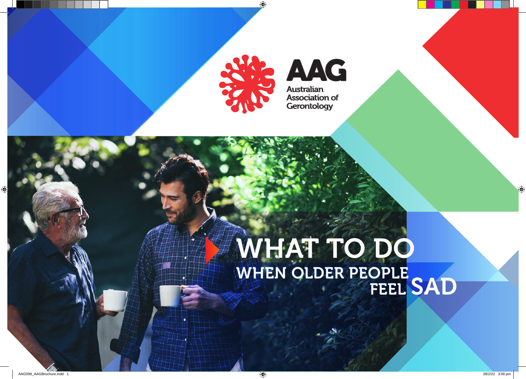

**AAG Australian Association of** Gerontology

## $\mathbf W$  is taken to take on people in 'the system'" "Safety is a basic human right" WHAT TO DO WHEN OLDER PEOPLE FEEL SAD

AAG's purpose is to improve

CONNECTING RESEARCH,

POLICY and PRACTICE

the experience of a

 $\mathbf{C}$ 

Special Interest Group

AGEING, WORKFORCE

"We need a joint the second control of the second second and the second second second a joint of the second second

response for victims"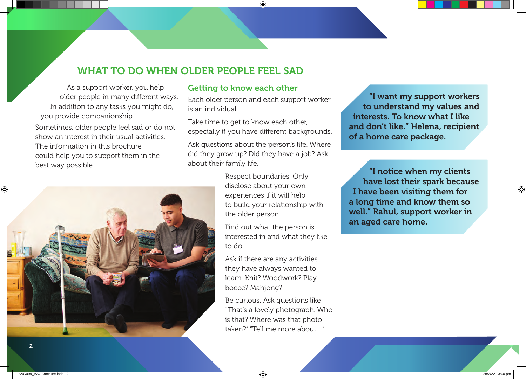## WHAT TO DO WHEN OLDER PEOPLE FEEL SAD

As a support worker, you help older people in many different ways. In addition to any tasks you might do, you provide companionship. Sometimes, older people feel sad or do not show an interest in their usual activities. The information in this brochure could help you to support them in the best way possible.



### Getting to know each other

Each older person and each support worker is an individual.

Take time to get to know each other. especially if you have different backgrounds.

Ask questions about the person's life. Where did they grow up? Did they have a job? Ask about their family life.

> Respect boundaries. Only disclose about your own experiences if it will help to build your relationship with the older person.

Find out what the person is interested in and what they like to do.

Ask if there are any activities they have always wanted to learn. Knit? Woodwork? Play bocce? Mahjong?

Be curious. Ask questions like: "That's a lovely photograph. Who is that? Where was that photo taken?" "Tell me more about…"

"I want my support workers to understand my values and interests. To know what I like and don't like." Helena, recipient of a home care package.

"I notice when my clients have lost their spark because I have been visiting them for a long time and know them so well." Rahul, support worker in an aged care home.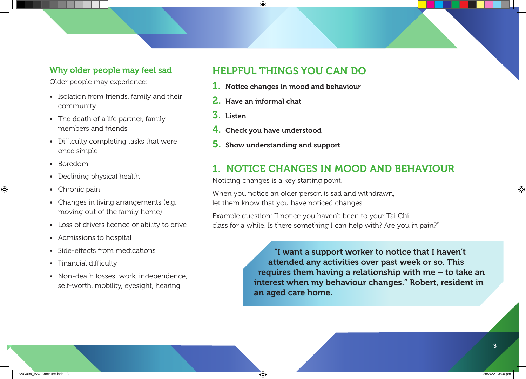### Why older people may feel sad

Older people may experience:

- Isolation from friends, family and their community
- The death of a life partner, family members and friends
- Difficulty completing tasks that were once simple
- Boredom
- Declining physical health
- Chronic pain
- Changes in living arrangements (e.g. moving out of the family home)
- Loss of drivers licence or ability to drive
- Admissions to hospital
- Side-effects from medications
- Financial difficulty
- Non-death losses: work, independence, self-worth, mobility, eyesight, hearing

## HELPFUL THINGS YOU CAN DO

- 1. Notice changes in mood and behaviour
- 2. Have an informal chat
- 3. Listen
- 4. Check you have understood
- 5. Show understanding and support

## 1. NOTICE CHANGES IN MOOD AND BEHAVIOUR

Noticing changes is a key starting point.

When you notice an older person is sad and withdrawn, let them know that you have noticed changes.

Example question: "I notice you haven't been to your Tai Chi class for a while. Is there something I can help with? Are you in pain?"

> "I want a support worker to notice that I haven't attended any activities over past week or so. This requires them having a relationship with me – to take an interest when my behaviour changes." Robert, resident in an aged care home.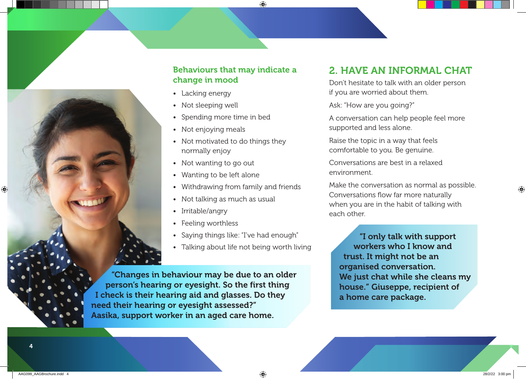

### Behaviours that may indicate a change in mood

- Lacking energy
- Not sleeping well
- Spending more time in bed
- Not enjoying meals
- Not motivated to do things they normally enjoy
- Not wanting to go out
- Wanting to be left alone
- Withdrawing from family and friends
- Not talking as much as usual
- Irritable/angry
- Feeling worthless
- Saying things like: "I've had enough"
- Talking about life not being worth living

"Changes in behaviour may be due to an older person's hearing or eyesight. So the first thing I check is their hearing aid and glasses. Do they need their hearing or eyesight assessed?" Aasika, support worker in an aged care home.

# 2. HAVE AN INFORMAL CHAT

Don't hesitate to talk with an older person if you are worried about them.

Ask: "How are you going?"

A conversation can help people feel more supported and less alone.

Raise the topic in a way that feels comfortable to you. Be genuine.

Conversations are best in a relaxed environment.

Make the conversation as normal as possible. Conversations flow far more naturally when you are in the habit of talking with each other.

"I only talk with support workers who I know and trust. It might not be an organised conversation. We just chat while she cleans my house." Giuseppe, recipient of a home care package.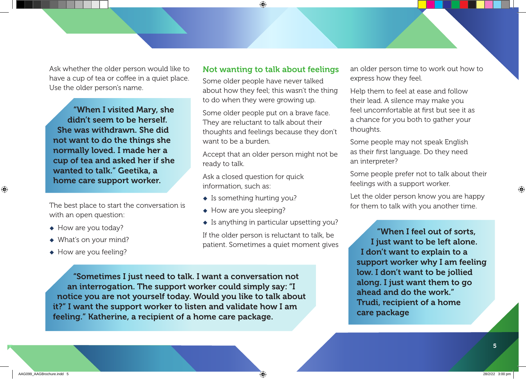Ask whether the older person would like to have a cup of tea or coffee in a quiet place. Use the older person's name.

"When I visited Mary, she didn't seem to be herself. She was withdrawn. She did not want to do the things she normally loved. I made her a cup of tea and asked her if she wanted to talk." Geetika, a home care support worker.

The best place to start the conversation is with an open question:

- $\leftrightarrow$  How are you today?
- $\blacklozenge$  What's on your mind?
- $\leftrightarrow$  How are you feeling?

#### Not wanting to talk about feelings

Some older people have never talked about how they feel; this wasn't the thing to do when they were growing up.

Some older people put on a brave face. They are reluctant to talk about their thoughts and feelings because they don't want to be a burden.

Accept that an older person might not be ready to talk.

Ask a closed question for quick information, such as:

- $\bullet$  Is something hurting you?
- $\leftrightarrow$  How are you sleeping?
- $\bullet$  Is anything in particular upsetting you?

If the older person is reluctant to talk, be patient. Sometimes a quiet moment gives

"Sometimes I just need to talk. I want a conversation not an interrogation. The support worker could simply say: "I notice you are not yourself today. Would you like to talk about it?" I want the support worker to listen and validate how I am feeling." Katherine, a recipient of a home care package.

an older person time to work out how to express how they feel.

Help them to feel at ease and follow their lead. A silence may make you feel uncomfortable at first but see it as a chance for you both to gather your thoughts.

Some people may not speak English as their first language. Do they need an interpreter?

Some people prefer not to talk about their feelings with a support worker.

Let the older person know you are happy for them to talk with you another time.

"When I feel out of sorts, I just want to be left alone. I don't want to explain to a support worker why I am feeling low. I don't want to be jollied along. I just want them to go ahead and do the work." Trudi, recipient of a home care package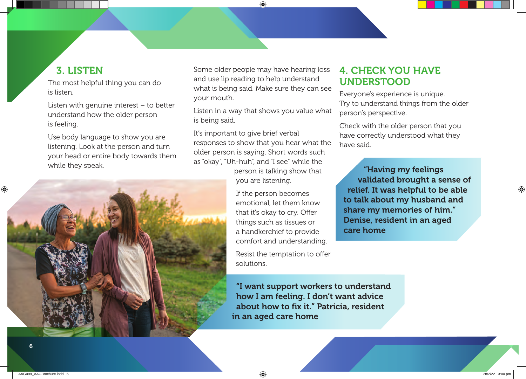## 3. LISTEN

The most helpful thing you can do is listen.

Listen with genuine interest – to better understand how the older person is feeling.

Use body language to show you are listening. Look at the person and turn your head or entire body towards them while they speak.



Some older people may have hearing loss and use lip reading to help understand what is being said. Make sure they can see your mouth.

Listen in a way that shows you value what is being said.

It's important to give brief verbal responses to show that you hear what the older person is saying. Short words such as "okay", "Uh-huh", and "I see" while the

person is talking show that you are listening.

If the person becomes emotional, let them know that it's okay to cry. Offer things such as tissues or a handkerchief to provide comfort and understanding.

Resist the temptation to offer solutions.

"I want support workers to understand how I am feeling. I don't want advice about how to fix it." Patricia, resident in an aged care home

## 4. CHECK YOU HAVE UNDERSTOOD

Everyone's experience is unique. Try to understand things from the older person's perspective.

Check with the older person that you have correctly understood what they have said.

"Having my feelings validated brought a sense of relief. It was helpful to be able to talk about my husband and share my memories of him." Denise, resident in an aged care home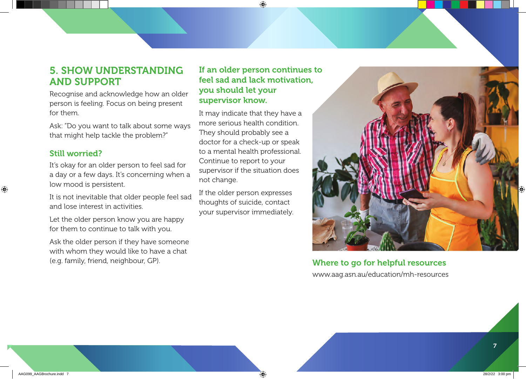## 5. SHOW UNDERSTANDING AND SUPPORT

Recognise and acknowledge how an older person is feeling. Focus on being present for them.

Ask: "Do you want to talk about some ways that might help tackle the problem?"

#### Still worried?

It's okay for an older person to feel sad for a day or a few days. It's concerning when a low mood is persistent.

It is not inevitable that older people feel sad and lose interest in activities.

Let the older person know you are happy for them to continue to talk with you.

Ask the older person if they have someone with whom they would like to have a chat (e.g. family, friend, neighbour, GP).

### If an older person continues to feel sad and lack motivation, you should let your supervisor know.

It may indicate that they have a more serious health condition. They should probably see a doctor for a check-up or speak to a mental health professional. Continue to report to your supervisor if the situation does not change.

If the older person expresses thoughts of suicide, contact your supervisor immediately.



Where to go for helpful resources www.aag.asn.au/education/mh-resources